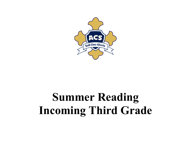

## **Summer Reading Incoming Third Grade**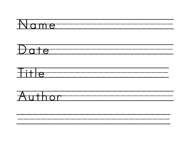





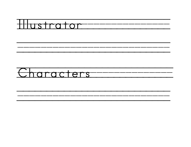

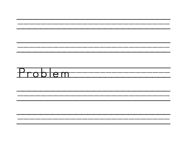

\_\_\_\_\_\_\_

\_\_\_\_\_\_\_\_

---

-----

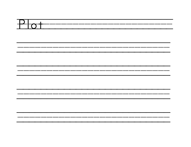

\_\_\_\_\_\_\_\_\_\_\_\_\_

------\_\_\_\_\_\_\_\_\_\_ \_\_\_\_\_\_\_\_\_\_\_\_\_\_\_\_

-------------------------------------------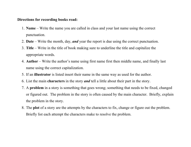## **Directions for recording books read:**

- 1. **Name** Write the name you are called in class and your last name using the correct punctuation.
- 2. **Date** Write the month, day, *and* year the report is due using the correct punctuation.
- 3. **Title** Write in the title of book making sure to underline the title and capitalize the appropriate words.
- 4. **Author** Write the author's name using first name first then middle name, and finally last name using the correct capitalization.
- 5. If an **illustrator** is listed insert their name in the same way as used for the author.
- 6. List the main **characters** in the story *and* tell a little about their part in the story.
- 7. A **problem** in a story is something that goes wrong; something that needs to be fixed, changed or figured out. The problem in the story is often caused by the main character. Briefly, explain the problem in the story.
- 8. The **plot** of a story are the attempts by the characters to fix, change or figure out the problem. Briefly list each attempt the characters make to resolve the problem.